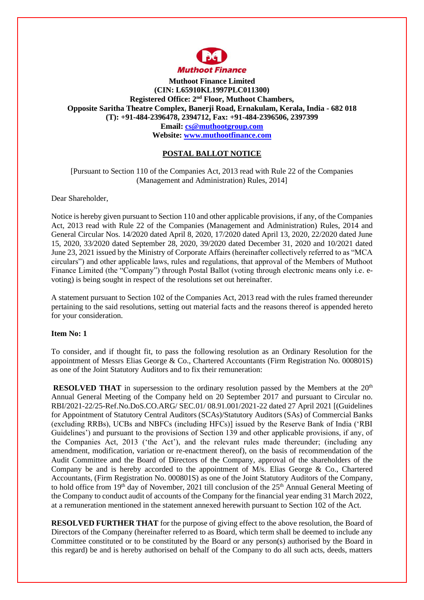

**Muthoot Finance Limited (CIN: L65910KL1997PLC011300) Registered Office: 2nd Floor, Muthoot Chambers, Opposite Saritha Theatre Complex, Banerji Road, Ernakulam, Kerala, India - 682 018 (T): +91-484-2396478, 2394712, Fax: +91-484-2396506, 2397399 Email: [cs@muthootgroup.com](mailto:cs@muthootgroup.com) Website: [www.muthootfinance.com](http://www.muthootfinance.com/)**

# **POSTAL BALLOT NOTICE**

[Pursuant to Section 110 of the Companies Act, 2013 read with Rule 22 of the Companies (Management and Administration) Rules, 2014]

### Dear Shareholder,

Notice is hereby given pursuant to Section 110 and other applicable provisions, if any, of the Companies Act, 2013 read with Rule 22 of the Companies (Management and Administration) Rules, 2014 and General Circular Nos. 14/2020 dated April 8, 2020, 17/2020 dated April 13, 2020, 22/2020 dated June 15, 2020, 33/2020 dated September 28, 2020, 39/2020 dated December 31, 2020 and 10/2021 dated June 23, 2021 issued by the Ministry of Corporate Affairs (hereinafter collectively referred to as "MCA circulars") and other applicable laws, rules and regulations, that approval of the Members of Muthoot Finance Limited (the "Company") through Postal Ballot (voting through electronic means only i.e. evoting) is being sought in respect of the resolutions set out hereinafter.

A statement pursuant to Section 102 of the Companies Act, 2013 read with the rules framed thereunder pertaining to the said resolutions, setting out material facts and the reasons thereof is appended hereto for your consideration.

#### **Item No: 1**

To consider, and if thought fit, to pass the following resolution as an Ordinary Resolution for the appointment of Messrs Elias George & Co., Chartered Accountants (Firm Registration No. 000801S) as one of the Joint Statutory Auditors and to fix their remuneration:

**RESOLVED THAT** in supersession to the ordinary resolution passed by the Members at the 20<sup>th</sup> Annual General Meeting of the Company held on 20 September 2017 and pursuant to Circular no. RBI/2021-22/25-Ref.No.DoS.CO.ARG/ SEC.01/ 08.91.001/2021-22 dated 27 April 2021 [(Guidelines for Appointment of Statutory Central Auditors (SCAs)/Statutory Auditors (SAs) of Commercial Banks (excluding RRBs), UCBs and NBFCs (including HFCs)] issued by the Reserve Bank of India ('RBI Guidelines') and pursuant to the provisions of Section 139 and other applicable provisions, if any, of the Companies Act, 2013 ('the Act'), and the relevant rules made thereunder; (including any amendment, modification, variation or re-enactment thereof), on the basis of recommendation of the Audit Committee and the Board of Directors of the Company, approval of the shareholders of the Company be and is hereby accorded to the appointment of M/s. Elias George & Co., Chartered Accountants, (Firm Registration No. 000801S) as one of the Joint Statutory Auditors of the Company, to hold office from 19<sup>th</sup> day of November, 2021 till conclusion of the 25<sup>th</sup> Annual General Meeting of the Company to conduct audit of accounts of the Company for the financial year ending 31 March 2022, at a remuneration mentioned in the statement annexed herewith pursuant to Section 102 of the Act.

**RESOLVED FURTHER THAT** for the purpose of giving effect to the above resolution, the Board of Directors of the Company (hereinafter referred to as Board, which term shall be deemed to include any Committee constituted or to be constituted by the Board or any person(s) authorised by the Board in this regard) be and is hereby authorised on behalf of the Company to do all such acts, deeds, matters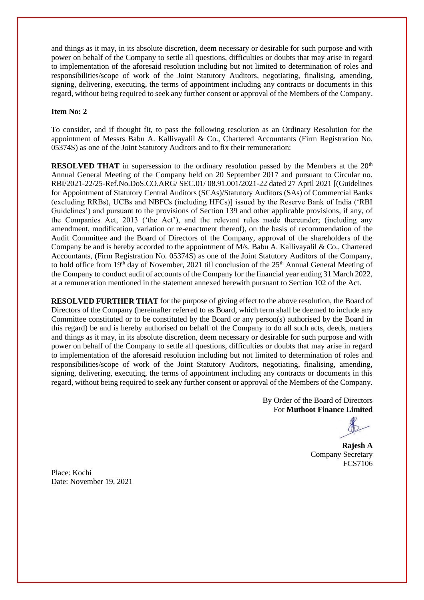and things as it may, in its absolute discretion, deem necessary or desirable for such purpose and with power on behalf of the Company to settle all questions, difficulties or doubts that may arise in regard to implementation of the aforesaid resolution including but not limited to determination of roles and responsibilities/scope of work of the Joint Statutory Auditors, negotiating, finalising, amending, signing, delivering, executing, the terms of appointment including any contracts or documents in this regard, without being required to seek any further consent or approval of the Members of the Company.

### **Item No: 2**

To consider, and if thought fit, to pass the following resolution as an Ordinary Resolution for the appointment of Messrs Babu A. Kallivayalil & Co., Chartered Accountants (Firm Registration No. 05374S) as one of the Joint Statutory Auditors and to fix their remuneration:

**RESOLVED THAT** in supersession to the ordinary resolution passed by the Members at the 20<sup>th</sup> Annual General Meeting of the Company held on 20 September 2017 and pursuant to Circular no. RBI/2021-22/25-Ref.No.DoS.CO.ARG/ SEC.01/ 08.91.001/2021-22 dated 27 April 2021 [(Guidelines for Appointment of Statutory Central Auditors (SCAs)/Statutory Auditors (SAs) of Commercial Banks (excluding RRBs), UCBs and NBFCs (including HFCs)] issued by the Reserve Bank of India ('RBI Guidelines') and pursuant to the provisions of Section 139 and other applicable provisions, if any, of the Companies Act, 2013 ('the Act'), and the relevant rules made thereunder; (including any amendment, modification, variation or re-enactment thereof), on the basis of recommendation of the Audit Committee and the Board of Directors of the Company, approval of the shareholders of the Company be and is hereby accorded to the appointment of M/s. Babu A. Kallivayalil & Co., Chartered Accountants, (Firm Registration No. 05374S) as one of the Joint Statutory Auditors of the Company, to hold office from 19<sup>th</sup> day of November, 2021 till conclusion of the 25<sup>th</sup> Annual General Meeting of the Company to conduct audit of accounts of the Company for the financial year ending 31 March 2022, at a remuneration mentioned in the statement annexed herewith pursuant to Section 102 of the Act.

**RESOLVED FURTHER THAT** for the purpose of giving effect to the above resolution, the Board of Directors of the Company (hereinafter referred to as Board, which term shall be deemed to include any Committee constituted or to be constituted by the Board or any person(s) authorised by the Board in this regard) be and is hereby authorised on behalf of the Company to do all such acts, deeds, matters and things as it may, in its absolute discretion, deem necessary or desirable for such purpose and with power on behalf of the Company to settle all questions, difficulties or doubts that may arise in regard to implementation of the aforesaid resolution including but not limited to determination of roles and responsibilities/scope of work of the Joint Statutory Auditors, negotiating, finalising, amending, signing, delivering, executing, the terms of appointment including any contracts or documents in this regard, without being required to seek any further consent or approval of the Members of the Company.

> By Order of the Board of Directors For **Muthoot Finance Limited**

 **Rajesh A** Company Secretary FCS7106

Place: Kochi Date: November 19, 2021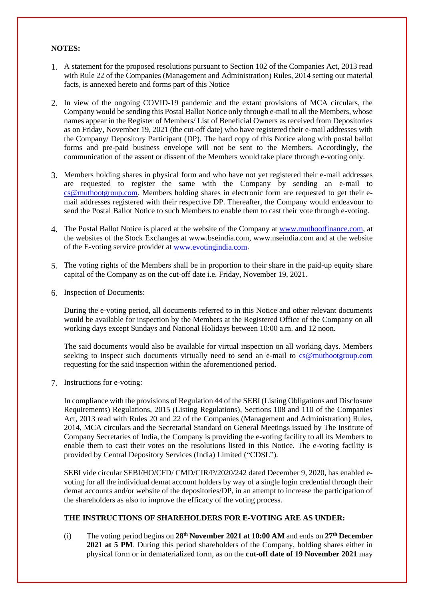### **NOTES:**

- 1. A statement for the proposed resolutions pursuant to Section 102 of the Companies Act, 2013 read with Rule 22 of the Companies (Management and Administration) Rules, 2014 setting out material facts, is annexed hereto and forms part of this Notice
- 2. In view of the ongoing COVID-19 pandemic and the extant provisions of MCA circulars, the Company would be sending this Postal Ballot Notice only through e-mail to all the Members, whose names appear in the Register of Members/ List of Beneficial Owners as received from Depositories as on Friday, November 19, 2021 (the cut-off date) who have registered their e-mail addresses with the Company/ Depository Participant (DP). The hard copy of this Notice along with postal ballot forms and pre-paid business envelope will not be sent to the Members. Accordingly, the communication of the assent or dissent of the Members would take place through e-voting only.
- 3. Members holding shares in physical form and who have not yet registered their e-mail addresses are requested to register the same with the Company by sending an e-mail to [cs@muthootgroup.com.](mailto:cs@muthootgroup.com) Members holding shares in electronic form are requested to get their email addresses registered with their respective DP. Thereafter, the Company would endeavour to send the Postal Ballot Notice to such Members to enable them to cast their vote through e-voting.
- 4. The Postal Ballot Notice is placed at the website of the Company at [www.muthootfinance.com,](http://www.muthootfinance.com/) at the websites of the Stock Exchanges at www.bseindia.com, www.nseindia.com and at the website of the E-voting service provider at [www.evotingindia.com.](http://www.evotingindia.com/)
- 5. The voting rights of the Members shall be in proportion to their share in the paid-up equity share capital of the Company as on the cut-off date i.e. Friday, November 19, 2021.
- 6. Inspection of Documents:

During the e-voting period, all documents referred to in this Notice and other relevant documents would be available for inspection by the Members at the Registered Office of the Company on all working days except Sundays and National Holidays between 10:00 a.m. and 12 noon.

The said documents would also be available for virtual inspection on all working days. Members seeking to inspect such documents virtually need to send an e-mail to [cs@muthootgroup.com](mailto:cs@muthootgroup.com) requesting for the said inspection within the aforementioned period.

7. Instructions for e-voting:

In compliance with the provisions of Regulation 44 of the SEBI (Listing Obligations and Disclosure Requirements) Regulations, 2015 (Listing Regulations), Sections 108 and 110 of the Companies Act, 2013 read with Rules 20 and 22 of the Companies (Management and Administration) Rules, 2014, MCA circulars and the Secretarial Standard on General Meetings issued by The Institute of Company Secretaries of India, the Company is providing the e-voting facility to all its Members to enable them to cast their votes on the resolutions listed in this Notice. The e-voting facility is provided by Central Depository Services (India) Limited ("CDSL").

SEBI vide circular SEBI/HO/CFD/ CMD/CIR/P/2020/242 dated December 9, 2020, has enabled evoting for all the individual demat account holders by way of a single login credential through their demat accounts and/or website of the depositories/DP, in an attempt to increase the participation of the shareholders as also to improve the efficacy of the voting process.

## **THE INSTRUCTIONS OF SHAREHOLDERS FOR E-VOTING ARE AS UNDER:**

(i) The voting period begins on **28th November 2021 at 10:00 AM** and ends on **27th December 2021 at 5 PM**. During this period shareholders of the Company, holding shares either in physical form or in dematerialized form, as on the **cut-off date of 19 November 2021** may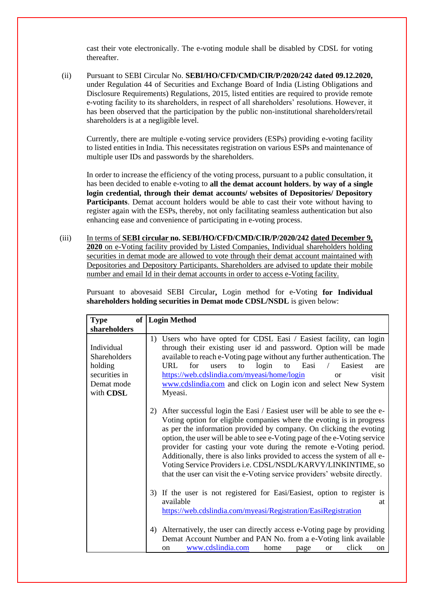cast their vote electronically. The e-voting module shall be disabled by CDSL for voting thereafter.

(ii) Pursuant to SEBI Circular No. **SEBI/HO/CFD/CMD/CIR/P/2020/242 dated 09.12.2020,**  under Regulation 44 of Securities and Exchange Board of India (Listing Obligations and Disclosure Requirements) Regulations, 2015, listed entities are required to provide remote e-voting facility to its shareholders, in respect of all shareholders' resolutions. However, it has been observed that the participation by the public non-institutional shareholders/retail shareholders is at a negligible level.

Currently, there are multiple e-voting service providers (ESPs) providing e-voting facility to listed entities in India. This necessitates registration on various ESPs and maintenance of multiple user IDs and passwords by the shareholders.

In order to increase the efficiency of the voting process, pursuant to a public consultation, it has been decided to enable e-voting to **all the demat account holders**, **by way of a single login credential, through their demat accounts/ websites of Depositories/ Depository Participants**. Demat account holders would be able to cast their vote without having to register again with the ESPs, thereby, not only facilitating seamless authentication but also enhancing ease and convenience of participating in e-voting process.

(iii) In terms of **SEBI circular no. SEBI/HO/CFD/CMD/CIR/P/2020/242 dated December 9, 2020** on e-Voting facility provided by Listed Companies, Individual shareholders holding securities in demat mode are allowed to vote through their demat account maintained with Depositories and Depository Participants. Shareholders are advised to update their mobile number and email Id in their demat accounts in order to access e-Voting facility.

Pursuant to abovesaid SEBI Circular**,** Login method for e-Voting **for Individual shareholders holding securities in Demat mode CDSL/NSDL** is given below:

| Type                                                                                     | of   Login Method                                                                                                                                                                                                                                                                                                                                                                                                                                                                                                                                                                                            |
|------------------------------------------------------------------------------------------|--------------------------------------------------------------------------------------------------------------------------------------------------------------------------------------------------------------------------------------------------------------------------------------------------------------------------------------------------------------------------------------------------------------------------------------------------------------------------------------------------------------------------------------------------------------------------------------------------------------|
| shareholders                                                                             |                                                                                                                                                                                                                                                                                                                                                                                                                                                                                                                                                                                                              |
| Individual<br><b>Shareholders</b><br>holding<br>securities in<br>Demat mode<br>with CDSL | 1) Users who have opted for CDSL Easi / Easiest facility, can login<br>through their existing user id and password. Option will be made<br>available to reach e-Voting page without any further authentication. The<br>login<br>Easi<br>Easiest<br>URL<br>for<br>to<br>users<br>to<br>are<br>https://web.cdslindia.com/myeasi/home/login<br>visit<br>or<br>www.cdslindia.com and click on Login icon and select New System<br>Myeasi.                                                                                                                                                                        |
|                                                                                          | After successful login the Easi / Easiest user will be able to see the e-<br>2)<br>Voting option for eligible companies where the evoting is in progress<br>as per the information provided by company. On clicking the evoting<br>option, the user will be able to see e-Voting page of the e-Voting service<br>provider for casting your vote during the remote e-Voting period.<br>Additionally, there is also links provided to access the system of all e-<br>Voting Service Providers i.e. CDSL/NSDL/KARVY/LINKINTIME, so<br>that the user can visit the e-Voting service providers' website directly. |
|                                                                                          | 3) If the user is not registered for Easi/Easiest, option to register is<br>available<br>at<br>https://web.cdslindia.com/myeasi/Registration/EasiRegistration                                                                                                                                                                                                                                                                                                                                                                                                                                                |
|                                                                                          | 4) Alternatively, the user can directly access e-Voting page by providing<br>Demat Account Number and PAN No. from a e-Voting link available<br>www.cdslindia.com<br>click<br>home<br>page<br><b>or</b><br>on<br>on                                                                                                                                                                                                                                                                                                                                                                                          |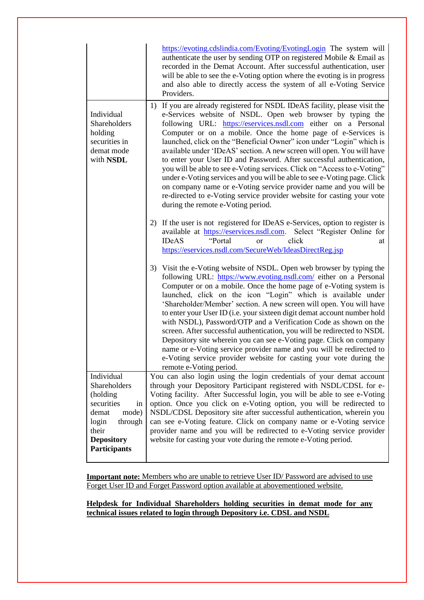|                                                                                                                                                       | https://evoting.cdslindia.com/Evoting/EvotingLogin The system will<br>authenticate the user by sending OTP on registered Mobile & Email as<br>recorded in the Demat Account. After successful authentication, user<br>will be able to see the e-Voting option where the evoting is in progress<br>and also able to directly access the system of all e-Voting Service<br>Providers.                                                                                                                                                                                                                                                                                                                                                                                                                                                                |
|-------------------------------------------------------------------------------------------------------------------------------------------------------|----------------------------------------------------------------------------------------------------------------------------------------------------------------------------------------------------------------------------------------------------------------------------------------------------------------------------------------------------------------------------------------------------------------------------------------------------------------------------------------------------------------------------------------------------------------------------------------------------------------------------------------------------------------------------------------------------------------------------------------------------------------------------------------------------------------------------------------------------|
| Individual<br>Shareholders<br>holding<br>securities in<br>demat mode<br>with NSDL                                                                     | 1) If you are already registered for NSDL IDeAS facility, please visit the<br>e-Services website of NSDL. Open web browser by typing the<br>following URL: https://eservices.nsdl.com either on a Personal<br>Computer or on a mobile. Once the home page of e-Services is<br>launched, click on the "Beneficial Owner" icon under "Login" which is<br>available under 'IDeAS' section. A new screen will open. You will have<br>to enter your User ID and Password. After successful authentication,<br>you will be able to see e-Voting services. Click on "Access to e-Voting"<br>under e-Voting services and you will be able to see e-Voting page. Click<br>on company name or e-Voting service provider name and you will be<br>re-directed to e-Voting service provider website for casting your vote<br>during the remote e-Voting period. |
|                                                                                                                                                       | 2) If the user is not registered for IDeAS e-Services, option to register is<br>available at https://eservices.nsdl.com. Select "Register Online for<br>"Portal<br><b>IDeAS</b><br>click<br><sub>or</sub><br>at<br>https://eservices.nsdl.com/SecureWeb/IdeasDirectReg.jsp                                                                                                                                                                                                                                                                                                                                                                                                                                                                                                                                                                         |
|                                                                                                                                                       | 3) Visit the e-Voting website of NSDL. Open web browser by typing the<br>following URL: https://www.evoting.nsdl.com/ either on a Personal<br>Computer or on a mobile. Once the home page of e-Voting system is<br>launched, click on the icon "Login" which is available under<br>'Shareholder/Member' section. A new screen will open. You will have<br>to enter your User ID (i.e. your sixteen digit demat account number hold<br>with NSDL), Password/OTP and a Verification Code as shown on the<br>screen. After successful authentication, you will be redirected to NSDL<br>Depository site wherein you can see e-Voting page. Click on company<br>name or e-Voting service provider name and you will be redirected to<br>e-Voting service provider website for casting your vote during the<br>remote e-Voting period.                  |
| Individual<br>Shareholders<br>(holding<br>securities<br>in<br>mode)<br>demat<br>login<br>through<br>their<br><b>Depository</b><br><b>Participants</b> | You can also login using the login credentials of your demat account<br>through your Depository Participant registered with NSDL/CDSL for e-<br>Voting facility. After Successful login, you will be able to see e-Voting<br>option. Once you click on e-Voting option, you will be redirected to<br>NSDL/CDSL Depository site after successful authentication, wherein you<br>can see e-Voting feature. Click on company name or e-Voting service<br>provider name and you will be redirected to e-Voting service provider<br>website for casting your vote during the remote e-Voting period.                                                                                                                                                                                                                                                    |

**Important note:** Members who are unable to retrieve User ID/ Password are advised to use Forget User ID and Forget Password option available at abovementioned website.

**Helpdesk for Individual Shareholders holding securities in demat mode for any technical issues related to login through Depository i.e. CDSL and NSDL**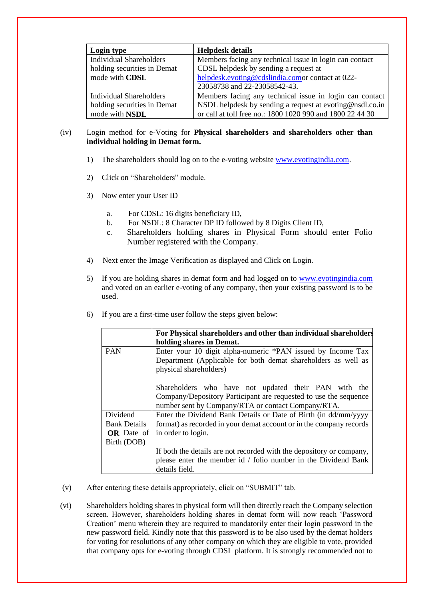| Login type                     | <b>Helpdesk details</b>                                   |
|--------------------------------|-----------------------------------------------------------|
| <b>Individual Shareholders</b> | Members facing any technical issue in login can contact   |
| holding securities in Demat    | CDSL helpdesk by sending a request at                     |
| mode with CDSL                 | helpdesk.evoting@cdslindia.comor contact at 022-          |
|                                | 23058738 and 22-23058542-43.                              |
| Individual Shareholders        | Members facing any technical issue in login can contact   |
| holding securities in Demat    | NSDL helpdesk by sending a request at evoting@nsdl.co.in  |
| mode with NSDL                 | or call at toll free no.: 1800 1020 990 and 1800 22 44 30 |

# (iv) Login method for e-Voting for **Physical shareholders and shareholders other than individual holding in Demat form.**

- 1) The shareholders should log on to the e-voting website [www.evotingindia.com.](http://www.evotingindia.com/)
- 2) Click on "Shareholders" module.
- 3) Now enter your User ID
	- a. For CDSL: 16 digits beneficiary ID,
	- b. For NSDL: 8 Character DP ID followed by 8 Digits Client ID,
	- c. Shareholders holding shares in Physical Form should enter Folio Number registered with the Company.
- 4) Next enter the Image Verification as displayed and Click on Login.
- 5) If you are holding shares in demat form and had logged on to [www.evotingindia.com](http://www.evotingindia.com/) and voted on an earlier e-voting of any company, then your existing password is to be used.

|                     | For Physical shareholders and other than individual shareholders<br>holding shares in Demat.                                                                                   |
|---------------------|--------------------------------------------------------------------------------------------------------------------------------------------------------------------------------|
| <b>PAN</b>          | Enter your 10 digit alpha-numeric *PAN issued by Income Tax<br>Department (Applicable for both demat shareholders as well as<br>physical shareholders)                         |
|                     | Shareholders who have not updated their PAN with the<br>Company/Depository Participant are requested to use the sequence<br>number sent by Company/RTA or contact Company/RTA. |
| <b>Dividend</b>     | Enter the Dividend Bank Details or Date of Birth (in dd/mm/yyyy                                                                                                                |
| <b>Bank Details</b> | format) as recorded in your demat account or in the company records                                                                                                            |
| <b>OR</b> Date of   | in order to login.                                                                                                                                                             |
| Birth (DOB)         |                                                                                                                                                                                |
|                     | If both the details are not recorded with the depository or company,                                                                                                           |
|                     | please enter the member id / folio number in the Dividend Bank                                                                                                                 |
|                     | details field.                                                                                                                                                                 |

6) If you are a first-time user follow the steps given below:

- (v) After entering these details appropriately, click on "SUBMIT" tab.
- (vi) Shareholders holding shares in physical form will then directly reach the Company selection screen. However, shareholders holding shares in demat form will now reach 'Password Creation' menu wherein they are required to mandatorily enter their login password in the new password field. Kindly note that this password is to be also used by the demat holders for voting for resolutions of any other company on which they are eligible to vote, provided that company opts for e-voting through CDSL platform. It is strongly recommended not to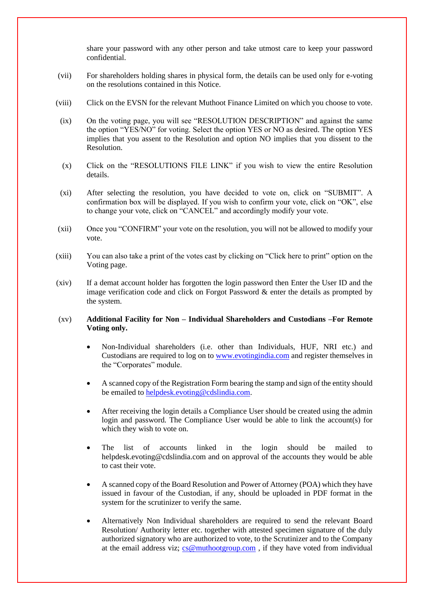share your password with any other person and take utmost care to keep your password confidential.

- (vii) For shareholders holding shares in physical form, the details can be used only for e-voting on the resolutions contained in this Notice.
- (viii) Click on the EVSN for the relevant Muthoot Finance Limited on which you choose to vote.
- (ix) On the voting page, you will see "RESOLUTION DESCRIPTION" and against the same the option "YES/NO" for voting. Select the option YES or NO as desired. The option YES implies that you assent to the Resolution and option NO implies that you dissent to the Resolution.
- (x) Click on the "RESOLUTIONS FILE LINK" if you wish to view the entire Resolution details.
- (xi) After selecting the resolution, you have decided to vote on, click on "SUBMIT". A confirmation box will be displayed. If you wish to confirm your vote, click on "OK", else to change your vote, click on "CANCEL" and accordingly modify your vote.
- (xii) Once you "CONFIRM" your vote on the resolution, you will not be allowed to modify your vote.
- (xiii) You can also take a print of the votes cast by clicking on "Click here to print" option on the Voting page.
- (xiv) If a demat account holder has forgotten the login password then Enter the User ID and the image verification code and click on Forgot Password & enter the details as prompted by the system.

## (xv) **Additional Facility for Non – Individual Shareholders and Custodians –For Remote Voting only.**

- Non-Individual shareholders (i.e. other than Individuals, HUF, NRI etc.) and Custodians are required to log on to [www.evotingindia.com](http://www.evotingindia.com/) and register themselves in the "Corporates" module.
- A scanned copy of the Registration Form bearing the stamp and sign of the entity should be emailed to [helpdesk.evoting@cdslindia.com.](mailto:helpdesk.evoting@cdslindia.com)
- After receiving the login details a Compliance User should be created using the admin login and password. The Compliance User would be able to link the account(s) for which they wish to vote on.
- The list of accounts linked in the login should be mailed to helpdesk.evoting@cdslindia.com and on approval of the accounts they would be able to cast their vote.
- A scanned copy of the Board Resolution and Power of Attorney (POA) which they have issued in favour of the Custodian, if any, should be uploaded in PDF format in the system for the scrutinizer to verify the same.
- Alternatively Non Individual shareholders are required to send the relevant Board Resolution/ Authority letter etc. together with attested specimen signature of the duly authorized signatory who are authorized to vote, to the Scrutinizer and to the Company at the email address viz; [cs@muthootgroup.com](mailto:cs@muthootgroup.com) , if they have voted from individual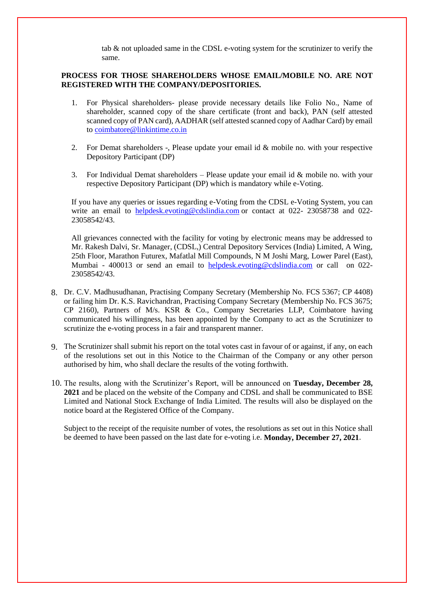tab & not uploaded same in the CDSL e-voting system for the scrutinizer to verify the same.

## **PROCESS FOR THOSE SHAREHOLDERS WHOSE EMAIL/MOBILE NO. ARE NOT REGISTERED WITH THE COMPANY/DEPOSITORIES.**

- 1. For Physical shareholders- please provide necessary details like Folio No., Name of shareholder, scanned copy of the share certificate (front and back), PAN (self attested scanned copy of PAN card), AADHAR (self attested scanned copy of Aadhar Card) by email to [coimbatore@linkintime.co.in](mailto:coimbatore@linkintime.co.in)
- 2. For Demat shareholders -, Please update your email id & mobile no. with your respective Depository Participant (DP)
- 3. For Individual Demat shareholders Please update your email id  $&$  mobile no. with your respective Depository Participant (DP) which is mandatory while e-Voting.

If you have any queries or issues regarding e-Voting from the CDSL e-Voting System, you can write an email to [helpdesk.evoting@cdslindia.com](mailto:helpdesk.evoting@cdslindia.com) or contact at 022- 23058738 and 022-23058542/43.

All grievances connected with the facility for voting by electronic means may be addressed to Mr. Rakesh Dalvi, Sr. Manager, (CDSL,) Central Depository Services (India) Limited, A Wing, 25th Floor, Marathon Futurex, Mafatlal Mill Compounds, N M Joshi Marg, Lower Parel (East), Mumbai - 400013 or send an email to [helpdesk.evoting@cdslindia.com](mailto:helpdesk.evoting@cdslindia.com) or call on 022- 23058542/43.

- 8. Dr. C.V. Madhusudhanan, Practising Company Secretary (Membership No. FCS 5367; CP 4408) or failing him Dr. K.S. Ravichandran, Practising Company Secretary (Membership No. FCS 3675; CP 2160), Partners of M/s. KSR & Co., Company Secretaries LLP, Coimbatore having communicated his willingness, has been appointed by the Company to act as the Scrutinizer to scrutinize the e-voting process in a fair and transparent manner.
- 9. The Scrutinizer shall submit his report on the total votes cast in favour of or against, if any, on each of the resolutions set out in this Notice to the Chairman of the Company or any other person authorised by him, who shall declare the results of the voting forthwith.
- 10. The results, along with the Scrutinizer's Report, will be announced on **Tuesday, December 28, 2021** and be placed on the website of the Company and CDSL and shall be communicated to BSE Limited and National Stock Exchange of India Limited. The results will also be displayed on the notice board at the Registered Office of the Company.

Subject to the receipt of the requisite number of votes, the resolutions as set out in this Notice shall be deemed to have been passed on the last date for e-voting i.e. **Monday, December 27, 2021**.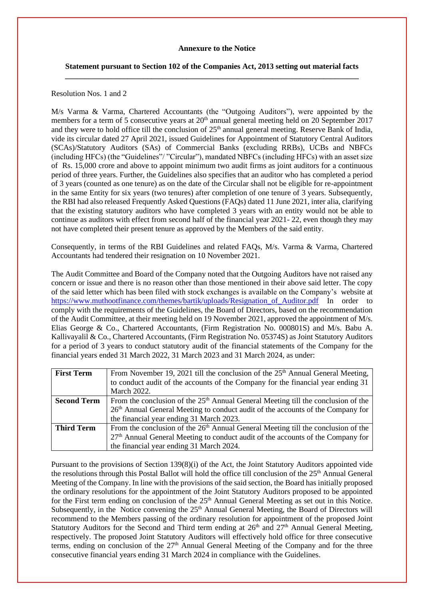### **Annexure to the Notice**

## **Statement pursuant to Section 102 of the Companies Act, 2013 setting out material facts \_\_\_\_\_\_\_\_\_\_\_\_\_\_\_\_\_\_\_\_\_\_\_\_\_\_\_\_\_\_\_\_\_\_\_\_\_\_\_\_\_\_\_\_\_\_\_\_\_\_\_\_\_\_\_\_\_\_\_\_\_\_\_\_\_\_\_\_\_\_\_\_\_\_\_**

### Resolution Nos. 1 and 2

M/s Varma & Varma, Chartered Accountants (the "Outgoing Auditors"), were appointed by the members for a term of 5 consecutive years at 20<sup>th</sup> annual general meeting held on 20 September 2017 and they were to hold office till the conclusion of 25<sup>th</sup> annual general meeting. Reserve Bank of India, vide its circular dated 27 April 2021, issued Guidelines for Appointment of Statutory Central Auditors (SCAs)/Statutory Auditors (SAs) of Commercial Banks (excluding RRBs), UCBs and NBFCs (including HFCs) (the "Guidelines"/ "Circular"), mandated NBFCs (including HFCs) with an asset size of Rs. 15,000 crore and above to appoint minimum two audit firms as joint auditors for a continuous period of three years. Further, the Guidelines also specifies that an auditor who has completed a period of 3 years (counted as one tenure) as on the date of the Circular shall not be eligible for re-appointment in the same Entity for six years (two tenures) after completion of one tenure of 3 years. Subsequently, the RBI had also released Frequently Asked Questions (FAQs) dated 11 June 2021, inter alia, clarifying that the existing statutory auditors who have completed 3 years with an entity would not be able to continue as auditors with effect from second half of the financial year 2021- 22, even though they may not have completed their present tenure as approved by the Members of the said entity.

Consequently, in terms of the RBI Guidelines and related FAQs, M/s. Varma & Varma, Chartered Accountants had tendered their resignation on 10 November 2021.

The Audit Committee and Board of the Company noted that the Outgoing Auditors have not raised any concern or issue and there is no reason other than those mentioned in their above said letter. The copy of the said letter which has been filed with stock exchanges is available on the Company's website at [https://www.muthootfinance.com/themes/bartik/uploads/Resignation\\_of\\_Auditor.pdf](https://www.muthootfinance.com/themes/bartik/uploads/Resignation_of_Auditor.pdf) In order to comply with the requirements of the Guidelines, the Board of Directors, based on the recommendation of the Audit Committee, at their meeting held on 19 November 2021, approved the appointment of M/s. Elias George & Co., Chartered Accountants, (Firm Registration No. 000801S) and M/s. Babu A. Kallivayalil & Co., Chartered Accountants, (Firm Registration No. 05374S) as Joint Statutory Auditors for a period of 3 years to conduct statutory audit of the financial statements of the Company for the financial years ended 31 March 2022, 31 March 2023 and 31 March 2024, as under:

| <b>First Term</b>  | From November 19, 2021 till the conclusion of the $25th$ Annual General Meeting,              |
|--------------------|-----------------------------------------------------------------------------------------------|
|                    | to conduct audit of the accounts of the Company for the financial year ending 31              |
|                    | March 2022.                                                                                   |
| <b>Second Term</b> | From the conclusion of the $25th$ Annual General Meeting till the conclusion of the           |
|                    | 26 <sup>th</sup> Annual General Meeting to conduct audit of the accounts of the Company for   |
|                    | the financial year ending 31 March 2023.                                                      |
| <b>Third Term</b>  | From the conclusion of the 26 <sup>th</sup> Annual General Meeting till the conclusion of the |
|                    | $27th$ Annual General Meeting to conduct audit of the accounts of the Company for             |
|                    | the financial year ending 31 March 2024.                                                      |

Pursuant to the provisions of Section 139(8)(i) of the Act, the Joint Statutory Auditors appointed vide the resolutions through this Postal Ballot will hold the office till conclusion of the  $25<sup>th</sup>$  Annual General Meeting of the Company. In line with the provisions of the said section, the Board has initially proposed the ordinary resolutions for the appointment of the Joint Statutory Auditors proposed to be appointed for the First term ending on conclusion of the 25<sup>th</sup> Annual General Meeting as set out in this Notice. Subsequently, in the Notice convening the  $25<sup>th</sup>$  Annual General Meeting, the Board of Directors will recommend to the Members passing of the ordinary resolution for appointment of the proposed Joint Statutory Auditors for the Second and Third term ending at 26<sup>th</sup> and 27<sup>th</sup> Annual General Meeting, respectively. The proposed Joint Statutory Auditors will effectively hold office for three consecutive terms, ending on conclusion of the  $27<sup>th</sup>$  Annual General Meeting of the Company and for the three consecutive financial years ending 31 March 2024 in compliance with the Guidelines.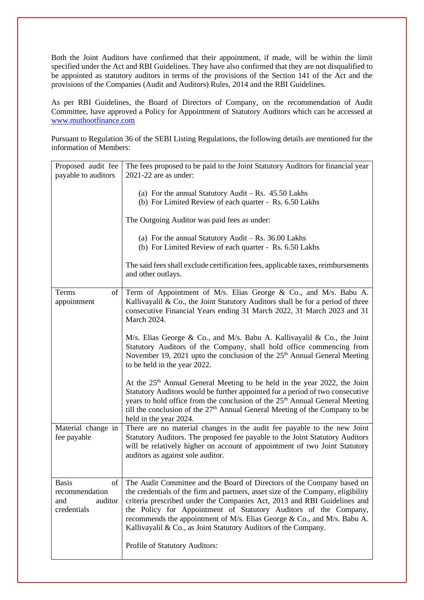Both the Joint Auditors have confirmed that their appointment, if made, will be within the limit specified under the Act and RBI Guidelines. They have also confirmed that they are not disqualified to be appointed as statutory auditors in terms of the provisions of the Section 141 of the Act and the provisions of the Companies (Audit and Auditors) Rules, 2014 and the RBI Guidelines.

As per RBI Guidelines, the Board of Directors of Company, on the recommendation of Audit Committee, have approved a Policy for Appointment of Statutory Auditors which can be accessed at [www.muthootfinance.com](http://www.muthootfinance.com/)

Pursuant to Regulation 36 of the SEBI Listing Regulations, the following details are mentioned for the information of Members:

| Proposed audit fee                                             | The fees proposed to be paid to the Joint Statutory Auditors for financial year                                                                                                                                                                                                                                                                                                                                                                          |
|----------------------------------------------------------------|----------------------------------------------------------------------------------------------------------------------------------------------------------------------------------------------------------------------------------------------------------------------------------------------------------------------------------------------------------------------------------------------------------------------------------------------------------|
| payable to auditors                                            | 2021-22 are as under:                                                                                                                                                                                                                                                                                                                                                                                                                                    |
|                                                                | (a) For the annual Statutory Audit – Rs. $45.50$ Lakhs<br>(b) For Limited Review of each quarter - Rs. 6.50 Lakhs                                                                                                                                                                                                                                                                                                                                        |
|                                                                | The Outgoing Auditor was paid fees as under:                                                                                                                                                                                                                                                                                                                                                                                                             |
|                                                                | (a) For the annual Statutory Audit – Rs. $36.00$ Lakhs<br>(b) For Limited Review of each quarter - Rs. 6.50 Lakhs                                                                                                                                                                                                                                                                                                                                        |
|                                                                | The said fees shall exclude certification fees, applicable taxes, reimbursements<br>and other outlays.                                                                                                                                                                                                                                                                                                                                                   |
| Terms<br>appointment                                           | of Term of Appointment of M/s. Elias George & Co., and M/s. Babu A.<br>Kallivayalil & Co., the Joint Statutory Auditors shall be for a period of three<br>consecutive Financial Years ending 31 March 2022, 31 March 2023 and 31<br>March 2024.                                                                                                                                                                                                          |
|                                                                | M/s. Elias George & Co., and M/s. Babu A. Kallivayalil & Co., the Joint<br>Statutory Auditors of the Company, shall hold office commencing from<br>November 19, 2021 upto the conclusion of the 25 <sup>th</sup> Annual General Meeting<br>to be held in the year 2022.                                                                                                                                                                                  |
|                                                                | At the 25 <sup>th</sup> Annual General Meeting to be held in the year 2022, the Joint<br>Statutory Auditors would be further appointed for a period of two consecutive<br>years to hold office from the conclusion of the 25 <sup>th</sup> Annual General Meeting<br>till the conclusion of the $27th$ Annual General Meeting of the Company to be<br>held in the year 2024.                                                                             |
| Material change in<br>fee payable                              | There are no material changes in the audit fee payable to the new Joint<br>Statutory Auditors. The proposed fee payable to the Joint Statutory Auditors<br>will be relatively higher on account of appointment of two Joint Statutory<br>auditors as against sole auditor.                                                                                                                                                                               |
| Basis<br>ΟÌ<br>recommendation<br>and<br>auditor<br>credentials | The Audit Committee and the Board of Directors of the Company based on<br>the credentials of the firm and partners, asset size of the Company, eligibility<br>criteria prescribed under the Companies Act, 2013 and RBI Guidelines and<br>the Policy for Appointment of Statutory Auditors of the Company,<br>recommends the appointment of M/s. Elias George & Co., and M/s. Babu A.<br>Kallivayalil & Co., as Joint Statutory Auditors of the Company. |
|                                                                | Profile of Statutory Auditors:                                                                                                                                                                                                                                                                                                                                                                                                                           |